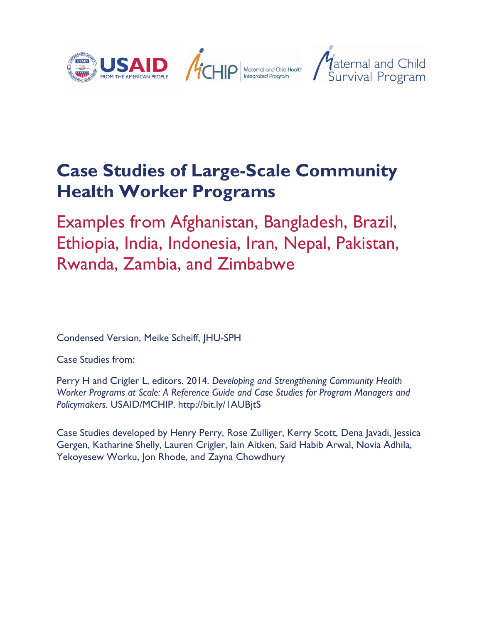

## **Case Studies of Large-Scale Community Health Worker Programs**

Examples from Afghanistan, Bangladesh, Brazil, Ethiopia, India, Indonesia, Iran, Nepal, Pakistan, Rwanda, Zambia, and Zimbabwe

Condensed Version, Meike Scheiff, JHU-SPH

Case Studies from:

Perry H and Crigler L, editors. 2014. *Developing and Strengthening Community Health Worker Programs at Scale: A Reference Guide and Case Studies for Program Managers and Policymakers.* USAID/MCHIP. http://bit.ly/1AUBjtS

Case Studies developed by Henry Perry, Rose Zulliger, Kerry Scott, Dena Javadi, Jessica Gergen, Katharine Shelly, Lauren Crigler, Iain Aitken, Said Habib Arwal, Novia Adhila, Yekoyesew Worku, Jon Rhode, and Zayna Chowdhury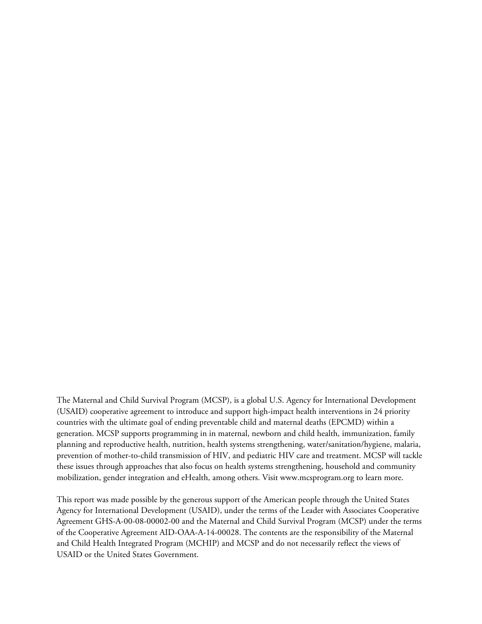The Maternal and Child Survival Program (MCSP), is a global U.S. Agency for International Development (USAID) cooperative agreement to introduce and support high-impact health interventions in 24 priority countries with the ultimate goal of ending preventable child and maternal deaths (EPCMD) within a generation. MCSP supports programming in in maternal, newborn and child health, immunization, family planning and reproductive health, nutrition, health systems strengthening, water/sanitation/hygiene, malaria, prevention of mother-to-child transmission of HIV, and pediatric HIV care and treatment. MCSP will tackle these issues through approaches that also focus on health systems strengthening, household and community mobilization, gender integration and eHealth, among others. Visit www.mcsprogram.org to learn more.

This report was made possible by the generous support of the American people through the United States Agency for International Development (USAID), under the terms of the Leader with Associates Cooperative Agreement GHS-A-00-08-00002-00 and the Maternal and Child Survival Program (MCSP) under the terms of the Cooperative Agreement AID-OAA-A-14-00028. The contents are the responsibility of the Maternal and Child Health Integrated Program (MCHIP) and MCSP and do not necessarily reflect the views of USAID or the United States Government.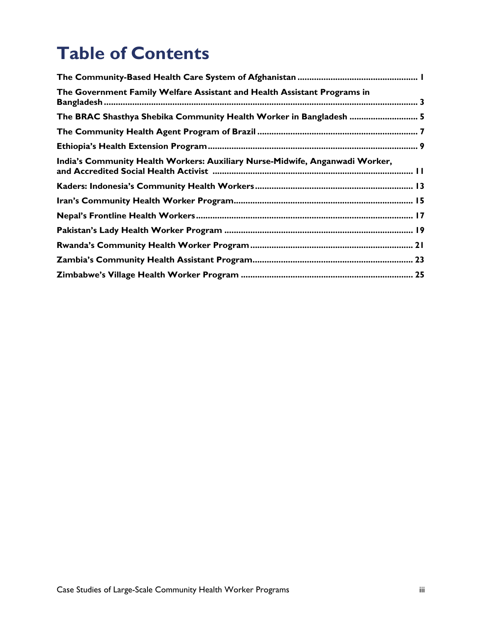# **Table of Contents**

| The Government Family Welfare Assistant and Health Assistant Programs in     |
|------------------------------------------------------------------------------|
| The BRAC Shasthya Shebika Community Health Worker in Bangladesh  5           |
|                                                                              |
|                                                                              |
| India's Community Health Workers: Auxiliary Nurse-Midwife, Anganwadi Worker, |
|                                                                              |
|                                                                              |
|                                                                              |
|                                                                              |
|                                                                              |
|                                                                              |
|                                                                              |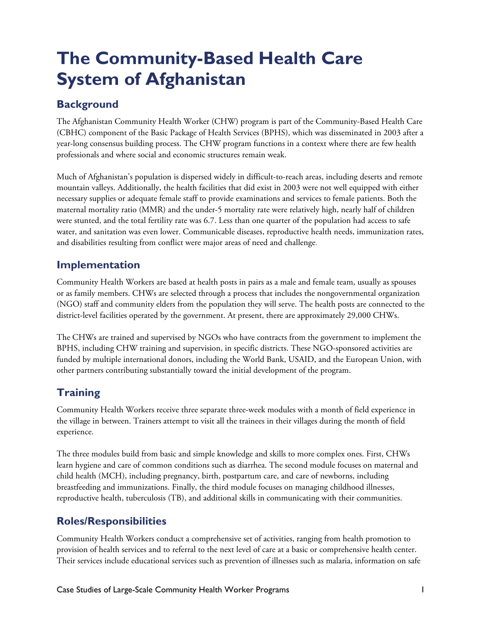# **The Community-Based Health Care System of Afghanistan**

## **Background**

The Afghanistan Community Health Worker (CHW) program is part of the Community-Based Health Care (CBHC) component of the Basic Package of Health Services (BPHS), which was disseminated in 2003 after a year-long consensus building process. The CHW program functions in a context where there are few health professionals and where social and economic structures remain weak.

Much of Afghanistan's population is dispersed widely in difficult-to-reach areas, including deserts and remote mountain valleys. Additionally, the health facilities that did exist in 2003 were not well equipped with either necessary supplies or adequate female staff to provide examinations and services to female patients. Both the maternal mortality ratio (MMR) and the under-5 mortality rate were relatively high, nearly half of children were stunted, and the total fertility rate was 6.7. Less than one quarter of the population had access to safe water, and sanitation was even lower. Communicable diseases, reproductive health needs, immunization rates, and disabilities resulting from conflict were major areas of need and challenge.

### **Implementation**

Community Health Workers are based at health posts in pairs as a male and female team, usually as spouses or as family members. CHWs are selected through a process that includes the nongovernmental organization (NGO) staff and community elders from the population they will serve. The health posts are connected to the district-level facilities operated by the government. At present, there are approximately 29,000 CHWs.

The CHWs are trained and supervised by NGOs who have contracts from the government to implement the BPHS, including CHW training and supervision, in specific districts. These NGO-sponsored activities are funded by multiple international donors, including the World Bank, USAID, and the European Union, with other partners contributing substantially toward the initial development of the program.

## **Training**

Community Health Workers receive three separate three-week modules with a month of field experience in the village in between. Trainers attempt to visit all the trainees in their villages during the month of field experience.

The three modules build from basic and simple knowledge and skills to more complex ones. First, CHWs learn hygiene and care of common conditions such as diarrhea. The second module focuses on maternal and child health (MCH), including pregnancy, birth, postpartum care, and care of newborns, including breastfeeding and immunizations. Finally, the third module focuses on managing childhood illnesses, reproductive health, tuberculosis (TB), and additional skills in communicating with their communities.

### **Roles/Responsibilities**

Community Health Workers conduct a comprehensive set of activities, ranging from health promotion to provision of health services and to referral to the next level of care at a basic or comprehensive health center. Their services include educational services such as prevention of illnesses such as malaria, information on safe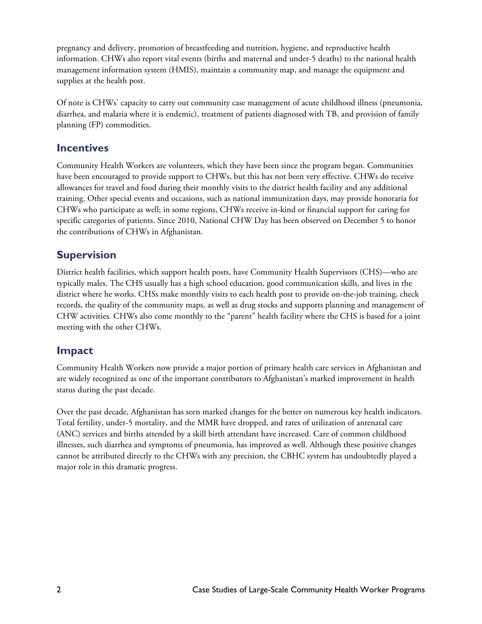pregnancy and delivery, promotion of breastfeeding and nutrition, hygiene, and reproductive health information. CHWs also report vital events (births and maternal and under-5 deaths) to the national health management information system (HMIS), maintain a community map, and manage the equipment and supplies at the health post.

Of note is CHWs' capacity to carry out community case management of acute childhood illness (pneumonia, diarrhea, and malaria where it is endemic), treatment of patients diagnosed with TB, and provision of family planning (FP) commodities.

#### **Incentives**

Community Health Workers are volunteers, which they have been since the program began. Communities have been encouraged to provide support to CHWs, but this has not been very effective. CHWs do receive allowances for travel and food during their monthly visits to the district health facility and any additional training. Other special events and occasions, such as national immunization days, may provide honoraria for CHWs who participate as well; in some regions, CHWs receive in-kind or financial support for caring for specific categories of patients. Since 2010, National CHW Day has been observed on December 5 to honor the contributions of CHWs in Afghanistan.

### **Supervision**

District health facilities, which support health posts, have Community Health Supervisors (CHS)—who are typically males. The CHS usually has a high school education, good communication skills, and lives in the district where he works. CHSs make monthly visits to each health post to provide on-the-job training, check records, the quality of the community maps, as well as drug stocks and supports planning and management of CHW activities. CHWs also come monthly to the "parent" health facility where the CHS is based for a joint meeting with the other CHWs.

#### **Impact**

Community Health Workers now provide a major portion of primary health care services in Afghanistan and are widely recognized as one of the important contributors to Afghanistan's marked improvement in health status during the past decade.

Over the past decade, Afghanistan has seen marked changes for the better on numerous key health indicators. Total fertility, under-5 mortality, and the MMR have dropped, and rates of utilization of antenatal care (ANC) services and births attended by a skill birth attendant have increased. Care of common childhood illnesses, such diarrhea and symptoms of pneumonia, has improved as well. Although these positive changes cannot be attributed directly to the CHWs with any precision, the CBHC system has undoubtedly played a major role in this dramatic progress.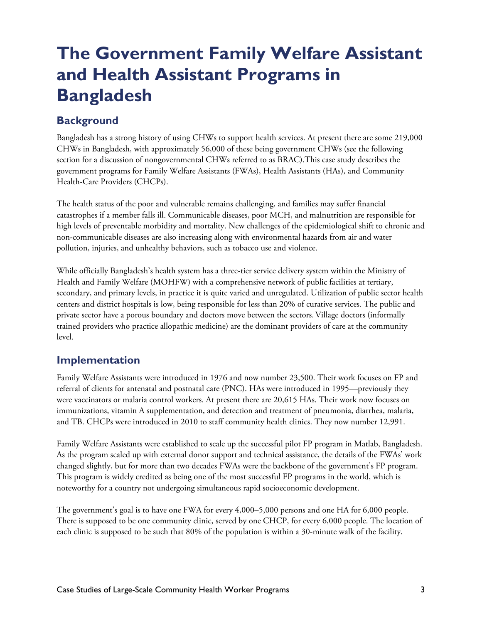## **The Government Family Welfare Assistant and Health Assistant Programs in Bangladesh**

## **Background**

Bangladesh has a strong history of using CHWs to support health services. At present there are some 219,000 CHWs in Bangladesh, with approximately 56,000 of these being government CHWs (see the following section for a discussion of nongovernmental CHWs referred to as BRAC).This case study describes the government programs for Family Welfare Assistants (FWAs), Health Assistants (HAs), and Community Health-Care Providers (CHCPs).

The health status of the poor and vulnerable remains challenging, and families may suffer financial catastrophes if a member falls ill. Communicable diseases, poor MCH, and malnutrition are responsible for high levels of preventable morbidity and mortality. New challenges of the epidemiological shift to chronic and non-communicable diseases are also increasing along with environmental hazards from air and water pollution, injuries, and unhealthy behaviors, such as tobacco use and violence.

While officially Bangladesh's health system has a three-tier service delivery system within the Ministry of Health and Family Welfare (MOHFW) with a comprehensive network of public facilities at tertiary, secondary, and primary levels, in practice it is quite varied and unregulated. Utilization of public sector health centers and district hospitals is low, being responsible for less than 20% of curative services. The public and private sector have a porous boundary and doctors move between the sectors.Village doctors (informally trained providers who practice allopathic medicine) are the dominant providers of care at the community level.

### **Implementation**

Family Welfare Assistants were introduced in 1976 and now number 23,500. Their work focuses on FP and referral of clients for antenatal and postnatal care (PNC). HAs were introduced in 1995—previously they were vaccinators or malaria control workers. At present there are 20,615 HAs. Their work now focuses on immunizations, vitamin A supplementation, and detection and treatment of pneumonia, diarrhea, malaria, and TB. CHCPs were introduced in 2010 to staff community health clinics. They now number 12,991.

Family Welfare Assistants were established to scale up the successful pilot FP program in Matlab, Bangladesh. As the program scaled up with external donor support and technical assistance, the details of the FWAs' work changed slightly, but for more than two decades FWAs were the backbone of the government's FP program. This program is widely credited as being one of the most successful FP programs in the world, which is noteworthy for a country not undergoing simultaneous rapid socioeconomic development.

The government's goal is to have one FWA for every 4,000–5,000 persons and one HA for 6,000 people. There is supposed to be one community clinic, served by one CHCP, for every 6,000 people. The location of each clinic is supposed to be such that 80% of the population is within a 30-minute walk of the facility.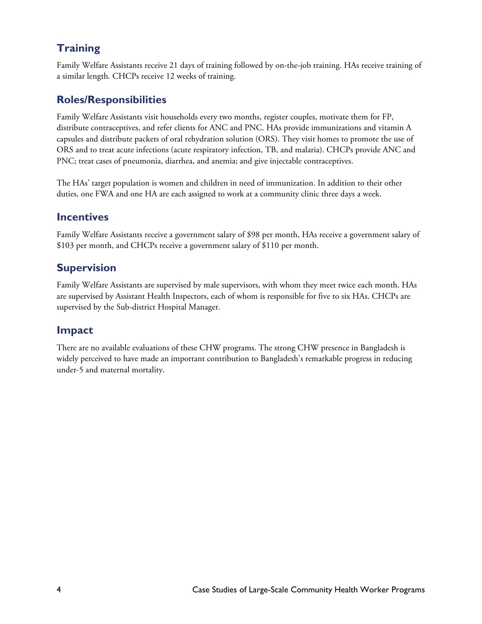### **Training**

Family Welfare Assistants receive 21 days of training followed by on-the-job training. HAs receive training of a similar length. CHCPs receive 12 weeks of training.

### **Roles/Responsibilities**

Family Welfare Assistants visit households every two months, register couples, motivate them for FP, distribute contraceptives, and refer clients for ANC and PNC. HAs provide immunizations and vitamin A capsules and distribute packets of oral rehydration solution (ORS). They visit homes to promote the use of ORS and to treat acute infections (acute respiratory infection, TB, and malaria). CHCPs provide ANC and PNC; treat cases of pneumonia, diarrhea, and anemia; and give injectable contraceptives.

The HAs' target population is women and children in need of immunization. In addition to their other duties, one FWA and one HA are each assigned to work at a community clinic three days a week.

### **Incentives**

Family Welfare Assistants receive a government salary of \$98 per month, HAs receive a government salary of \$103 per month, and CHCPs receive a government salary of \$110 per month.

### **Supervision**

Family Welfare Assistants are supervised by male supervisors, with whom they meet twice each month. HAs are supervised by Assistant Health Inspectors, each of whom is responsible for five to six HAs. CHCPs are supervised by the Sub-district Hospital Manager.

### **Impact**

There are no available evaluations of these CHW programs. The strong CHW presence in Bangladesh is widely perceived to have made an important contribution to Bangladesh's remarkable progress in reducing under-5 and maternal mortality.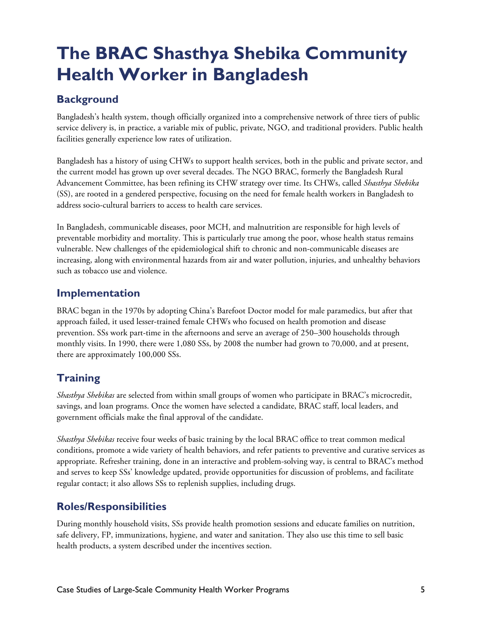# **The BRAC Shasthya Shebika Community Health Worker in Bangladesh**

## **Background**

Bangladesh's health system, though officially organized into a comprehensive network of three tiers of public service delivery is, in practice, a variable mix of public, private, NGO, and traditional providers. Public health facilities generally experience low rates of utilization.

Bangladesh has a history of using CHWs to support health services, both in the public and private sector, and the current model has grown up over several decades. The NGO BRAC, formerly the Bangladesh Rural Advancement Committee, has been refining its CHW strategy over time. Its CHWs, called *Shasthya Shebika* (SS), are rooted in a gendered perspective, focusing on the need for female health workers in Bangladesh to address socio-cultural barriers to access to health care services.

In Bangladesh, communicable diseases, poor MCH, and malnutrition are responsible for high levels of preventable morbidity and mortality. This is particularly true among the poor, whose health status remains vulnerable. New challenges of the epidemiological shift to chronic and non-communicable diseases are increasing, along with environmental hazards from air and water pollution, injuries, and unhealthy behaviors such as tobacco use and violence.

### **Implementation**

BRAC began in the 1970s by adopting China's Barefoot Doctor model for male paramedics, but after that approach failed, it used lesser-trained female CHWs who focused on health promotion and disease prevention. SSs work part-time in the afternoons and serve an average of 250–300 households through monthly visits. In 1990, there were 1,080 SSs, by 2008 the number had grown to 70,000, and at present, there are approximately 100,000 SSs.

## **Training**

*Shasthya Shebikas* are selected from within small groups of women who participate in BRAC's microcredit, savings, and loan programs. Once the women have selected a candidate, BRAC staff, local leaders, and government officials make the final approval of the candidate.

*Shasthya Shebikas* receive four weeks of basic training by the local BRAC office to treat common medical conditions, promote a wide variety of health behaviors, and refer patients to preventive and curative services as appropriate. Refresher training, done in an interactive and problem-solving way, is central to BRAC's method and serves to keep SSs' knowledge updated, provide opportunities for discussion of problems, and facilitate regular contact; it also allows SSs to replenish supplies, including drugs.

## **Roles/Responsibilities**

During monthly household visits, SSs provide health promotion sessions and educate families on nutrition, safe delivery, FP, immunizations, hygiene, and water and sanitation. They also use this time to sell basic health products, a system described under the incentives section.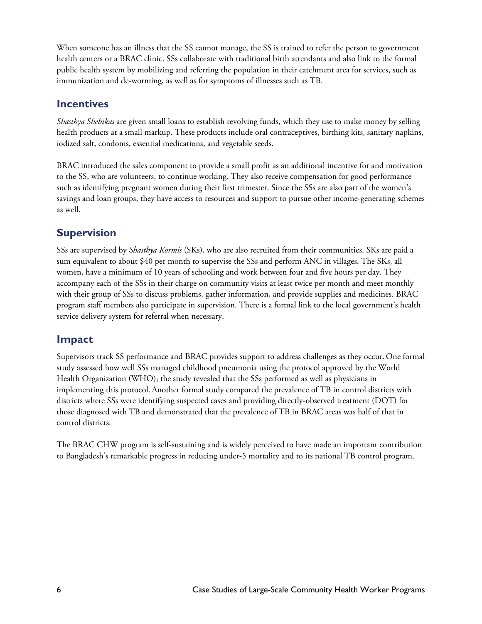When someone has an illness that the SS cannot manage, the SS is trained to refer the person to government health centers or a BRAC clinic. SSs collaborate with traditional birth attendants and also link to the formal public health system by mobilizing and referring the population in their catchment area for services, such as immunization and de-worming, as well as for symptoms of illnesses such as TB.

#### **Incentives**

*Shasthya Shebikas* are given small loans to establish revolving funds, which they use to make money by selling health products at a small markup. These products include oral contraceptives, birthing kits, sanitary napkins, iodized salt, condoms, essential medications, and vegetable seeds.

BRAC introduced the sales component to provide a small profit as an additional incentive for and motivation to the SS, who are volunteers, to continue working. They also receive compensation for good performance such as identifying pregnant women during their first trimester. Since the SSs are also part of the women's savings and loan groups, they have access to resources and support to pursue other income-generating schemes as well.

### **Supervision**

SSs are supervised by *Shasthya Kormis* (SKs), who are also recruited from their communities. SKs are paid a sum equivalent to about \$40 per month to supervise the SSs and perform ANC in villages. The SKs, all women, have a minimum of 10 years of schooling and work between four and five hours per day. They accompany each of the SSs in their charge on community visits at least twice per month and meet monthly with their group of SSs to discuss problems, gather information, and provide supplies and medicines. BRAC program staff members also participate in supervision. There is a formal link to the local government's health service delivery system for referral when necessary.

### **Impact**

Supervisors track SS performance and BRAC provides support to address challenges as they occur.One formal study assessed how well SSs managed childhood pneumonia using the protocol approved by the World Health Organization (WHO); the study revealed that the SSs performed as well as physicians in implementing this protocol. Another formal study compared the prevalence of TB in control districts with districts where SSs were identifying suspected cases and providing directly-observed treatment (DOT) for those diagnosed with TB and demonstrated that the prevalence of TB in BRAC areas was half of that in control districts.

The BRAC CHW program is self-sustaining and is widely perceived to have made an important contribution to Bangladesh's remarkable progress in reducing under-5 mortality and to its national TB control program.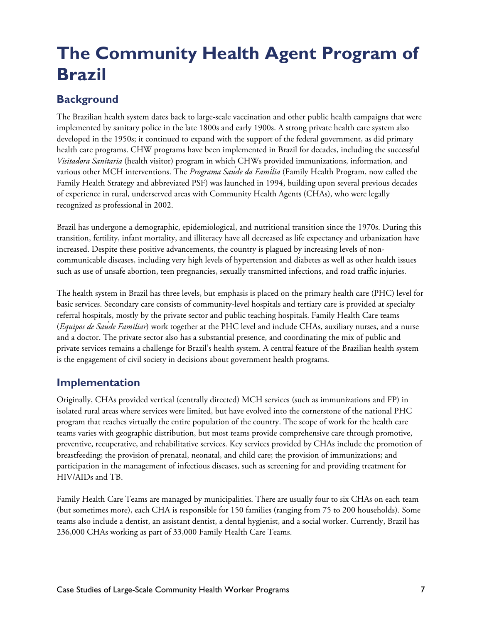# **The Community Health Agent Program of Brazil**

## **Background**

The Brazilian health system dates back to large-scale vaccination and other public health campaigns that were implemented by sanitary police in the late 1800s and early 1900s. A strong private health care system also developed in the 1950s; it continued to expand with the support of the federal government, as did primary health care programs. CHW programs have been implemented in Brazil for decades, including the successful *Visitadora Sanitaria* (health visitor) program in which CHWs provided immunizations, information, and various other MCH interventions. The *Programa Saúde da Família* (Family Health Program, now called the Family Health Strategy and abbreviated PSF) was launched in 1994, building upon several previous decades of experience in rural, underserved areas with Community Health Agents (CHAs), who were legally recognized as professional in 2002.

Brazil has undergone a demographic, epidemiological, and nutritional transition since the 1970s. During this transition, fertility, infant mortality, and illiteracy have all decreased as life expectancy and urbanization have increased. Despite these positive advancements, the country is plagued by increasing levels of noncommunicable diseases, including very high levels of hypertension and diabetes as well as other health issues such as use of unsafe abortion, teen pregnancies, sexually transmitted infections, and road traffic injuries.

The health system in Brazil has three levels, but emphasis is placed on the primary health care (PHC) level for basic services. Secondary care consists of community-level hospitals and tertiary care is provided at specialty referral hospitals, mostly by the private sector and public teaching hospitals. Family Health Care teams (*Equipos de Saúde Familiar*) work together at the PHC level and include CHAs, auxiliary nurses, and a nurse and a doctor. The private sector also has a substantial presence, and coordinating the mix of public and private services remains a challenge for Brazil's health system. A central feature of the Brazilian health system is the engagement of civil society in decisions about government health programs.

### **Implementation**

Originally, CHAs provided vertical (centrally directed) MCH services (such as immunizations and FP) in isolated rural areas where services were limited, but have evolved into the cornerstone of the national PHC program that reaches virtually the entire population of the country. The scope of work for the health care teams varies with geographic distribution, but most teams provide comprehensive care through promotive, preventive, recuperative, and rehabilitative services. Key services provided by CHAs include the promotion of breastfeeding; the provision of prenatal, neonatal, and child care; the provision of immunizations; and participation in the management of infectious diseases, such as screening for and providing treatment for HIV/AIDs and TB.

Family Health Care Teams are managed by municipalities. There are usually four to six CHAs on each team (but sometimes more), each CHA is responsible for 150 families (ranging from 75 to 200 households). Some teams also include a dentist, an assistant dentist, a dental hygienist, and a social worker. Currently, Brazil has 236,000 CHAs working as part of 33,000 Family Health Care Teams.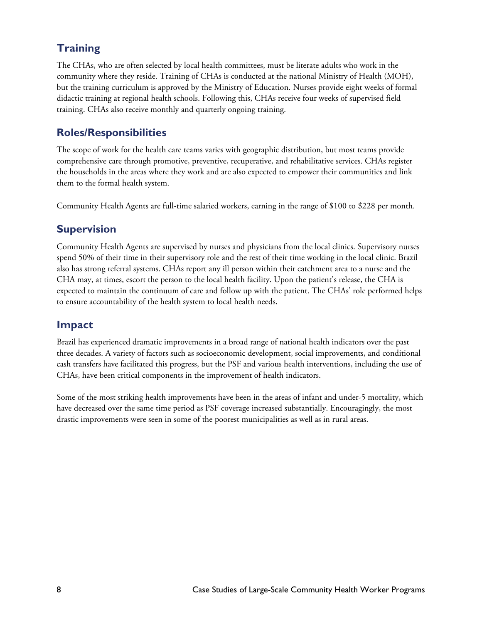## **Training**

The CHAs, who are often selected by local health committees, must be literate adults who work in the community where they reside. Training of CHAs is conducted at the national Ministry of Health (MOH), but the training curriculum is approved by the Ministry of Education. Nurses provide eight weeks of formal didactic training at regional health schools. Following this, CHAs receive four weeks of supervised field training. CHAs also receive monthly and quarterly ongoing training.

### **Roles/Responsibilities**

The scope of work for the health care teams varies with geographic distribution, but most teams provide comprehensive care through promotive, preventive, recuperative, and rehabilitative services. CHAs register the households in the areas where they work and are also expected to empower their communities and link them to the formal health system.

Community Health Agents are full-time salaried workers, earning in the range of \$100 to \$228 per month.

### **Supervision**

Community Health Agents are supervised by nurses and physicians from the local clinics. Supervisory nurses spend 50% of their time in their supervisory role and the rest of their time working in the local clinic. Brazil also has strong referral systems. CHAs report any ill person within their catchment area to a nurse and the CHA may, at times, escort the person to the local health facility. Upon the patient's release, the CHA is expected to maintain the continuum of care and follow up with the patient. The CHAs' role performed helps to ensure accountability of the health system to local health needs.

### **Impact**

Brazil has experienced dramatic improvements in a broad range of national health indicators over the past three decades. A variety of factors such as socioeconomic development, social improvements, and conditional cash transfers have facilitated this progress, but the PSF and various health interventions, including the use of CHAs, have been critical components in the improvement of health indicators.

Some of the most striking health improvements have been in the areas of infant and under-5 mortality, which have decreased over the same time period as PSF coverage increased substantially. Encouragingly, the most drastic improvements were seen in some of the poorest municipalities as well as in rural areas.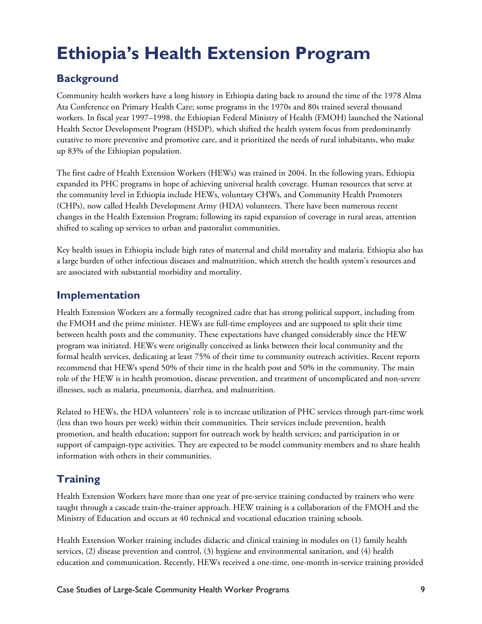# **Ethiopia's Health Extension Program**

## **Background**

Community health workers have a long history in Ethiopia dating back to around the time of the 1978 Alma Ata Conference on Primary Health Care; some programs in the 1970s and 80s trained several thousand workers. In fiscal year 1997–1998, the Ethiopian Federal Ministry of Health (FMOH) launched the National Health Sector Development Program (HSDP), which shifted the health system focus from predominantly curative to more preventive and promotive care, and it prioritized the needs of rural inhabitants, who make up 83% of the Ethiopian population.

The first cadre of Health Extension Workers (HEWs) was trained in 2004. In the following years, Ethiopia expanded its PHC programs in hope of achieving universal health coverage. Human resources that serve at the community level in Ethiopia include HEWs, voluntary CHWs, and Community Health Promoters (CHPs), now called Health Development Army (HDA) volunteers. There have been numerous recent changes in the Health Extension Program; following its rapid expansion of coverage in rural areas, attention shifted to scaling up services to urban and pastoralist communities.

Key health issues in Ethiopia include high rates of maternal and child mortality and malaria. Ethiopia also has a large burden of other infectious diseases and malnutrition, which stretch the health system's resources and are associated with substantial morbidity and mortality.

### **Implementation**

Health Extension Workers are a formally recognized cadre that has strong political support, including from the FMOH and the prime minister. HEWs are full-time employees and are supposed to split their time between health posts and the community. These expectations have changed considerably since the HEW program was initiated. HEWs were originally conceived as links between their local community and the formal health services, dedicating at least 75% of their time to community outreach activities. Recent reports recommend that HEWs spend 50% of their time in the health post and 50% in the community. The main role of the HEW is in health promotion, disease prevention, and treatment of uncomplicated and non-severe illnesses, such as malaria, pneumonia, diarrhea, and malnutrition.

Related to HEWs, the HDA volunteers' role is to increase utilization of PHC services through part-time work (less than two hours per week) within their communities. Their services include prevention, health promotion, and health education; support for outreach work by health services; and participation in or support of campaign-type activities. They are expected to be model community members and to share health information with others in their communities.

## **Training**

Health Extension Workers have more than one year of pre-service training conducted by trainers who were taught through a cascade train-the-trainer approach. HEW training is a collaboration of the FMOH and the Ministry of Education and occurs at 40 technical and vocational education training schools.

Health Extension Worker training includes didactic and clinical training in modules on (1) family health services, (2) disease prevention and control, (3) hygiene and environmental sanitation, and (4) health education and communication. Recently, HEWs received a one-time, one-month in-service training provided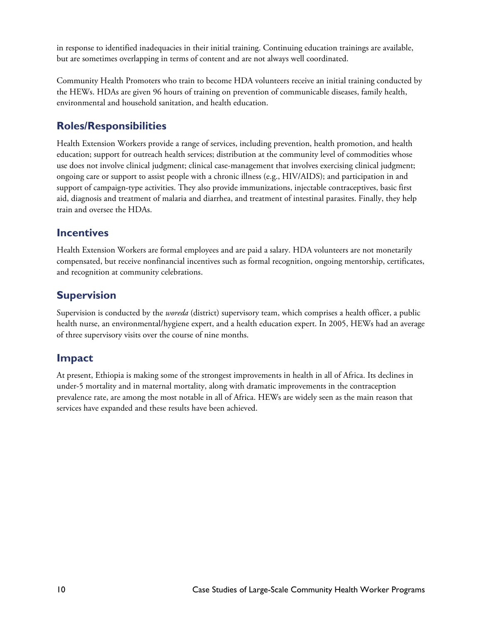in response to identified inadequacies in their initial training. Continuing education trainings are available, but are sometimes overlapping in terms of content and are not always well coordinated.

Community Health Promoters who train to become HDA volunteers receive an initial training conducted by the HEWs. HDAs are given 96 hours of training on prevention of communicable diseases, family health, environmental and household sanitation, and health education.

## **Roles/Responsibilities**

Health Extension Workers provide a range of services, including prevention, health promotion, and health education; support for outreach health services; distribution at the community level of commodities whose use does not involve clinical judgment; clinical case-management that involves exercising clinical judgment; ongoing care or support to assist people with a chronic illness (e.g., HIV/AIDS); and participation in and support of campaign-type activities. They also provide immunizations, injectable contraceptives, basic first aid, diagnosis and treatment of malaria and diarrhea, and treatment of intestinal parasites. Finally, they help train and oversee the HDAs.

### **Incentives**

Health Extension Workers are formal employees and are paid a salary. HDA volunteers are not monetarily compensated, but receive nonfinancial incentives such as formal recognition, ongoing mentorship, certificates, and recognition at community celebrations.

### **Supervision**

Supervision is conducted by the *woreda* (district) supervisory team, which comprises a health officer, a public health nurse, an environmental/hygiene expert, and a health education expert. In 2005, HEWs had an average of three supervisory visits over the course of nine months.

### **Impact**

At present, Ethiopia is making some of the strongest improvements in health in all of Africa. Its declines in under-5 mortality and in maternal mortality, along with dramatic improvements in the contraception prevalence rate, are among the most notable in all of Africa. HEWs are widely seen as the main reason that services have expanded and these results have been achieved.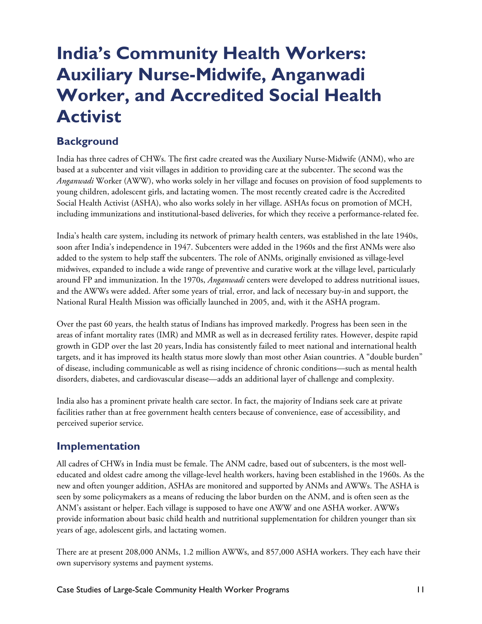## **India's Community Health Workers: Auxiliary Nurse-Midwife, Anganwadi Worker, and Accredited Social Health Activist**

### **Background**

India has three cadres of CHWs. The first cadre created was the Auxiliary Nurse-Midwife (ANM), who are based at a subcenter and visit villages in addition to providing care at the subcenter. The second was the *Anganwadi* Worker (AWW), who works solely in her village and focuses on provision of food supplements to young children, adolescent girls, and lactating women. The most recently created cadre is the Accredited Social Health Activist (ASHA), who also works solely in her village. ASHAs focus on promotion of MCH, including immunizations and institutional-based deliveries, for which they receive a performance-related fee.

India's health care system, including its network of primary health centers, was established in the late 1940s, soon after India's independence in 1947. Subcenters were added in the 1960s and the first ANMs were also added to the system to help staff the subcenters. The role of ANMs, originally envisioned as village-level midwives, expanded to include a wide range of preventive and curative work at the village level, particularly around FP and immunization. In the 1970s, *Anganwadi* centers were developed to address nutritional issues, and the AWWs were added. After some years of trial, error, and lack of necessary buy-in and support, the National Rural Health Mission was officially launched in 2005, and, with it the ASHA program.

Over the past 60 years, the health status of Indians has improved markedly. Progress has been seen in the areas of infant mortality rates (IMR) and MMR as well as in decreased fertility rates. However, despite rapid growth in GDP over the last 20 years, India has consistently failed to meet national and international health targets, and it has improved its health status more slowly than most other Asian countries. A "double burden" of disease, including communicable as well as rising incidence of chronic conditions—such as mental health disorders, diabetes, and cardiovascular disease—adds an additional layer of challenge and complexity.

India also has a prominent private health care sector. In fact, the majority of Indians seek care at private facilities rather than at free government health centers because of convenience, ease of accessibility, and perceived superior service.

### **Implementation**

All cadres of CHWs in India must be female. The ANM cadre, based out of subcenters, is the most welleducated and oldest cadre among the village-level health workers, having been established in the 1960s. As the new and often younger addition, ASHAs are monitored and supported by ANMs and AWWs. The ASHA is seen by some policymakers as a means of reducing the labor burden on the ANM, and is often seen as the ANM's assistant or helper. Each village is supposed to have one AWW and one ASHA worker. AWWs provide information about basic child health and nutritional supplementation for children younger than six years of age, adolescent girls, and lactating women.

There are at present 208,000 ANMs, 1.2 million AWWs, and 857,000 ASHA workers. They each have their own supervisory systems and payment systems.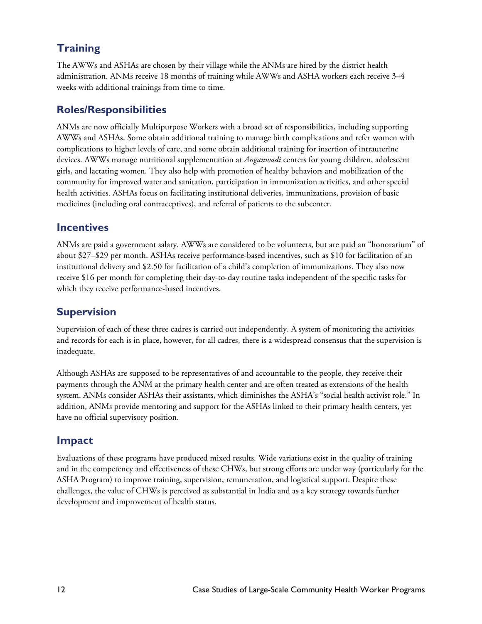## **Training**

The AWWs and ASHAs are chosen by their village while the ANMs are hired by the district health administration. ANMs receive 18 months of training while AWWs and ASHA workers each receive 3–4 weeks with additional trainings from time to time.

### **Roles/Responsibilities**

ANMs are now officially Multipurpose Workers with a broad set of responsibilities, including supporting AWWs and ASHAs. Some obtain additional training to manage birth complications and refer women with complications to higher levels of care, and some obtain additional training for insertion of intrauterine devices. AWWs manage nutritional supplementation at *Anganwadi* centers for young children, adolescent girls, and lactating women. They also help with promotion of healthy behaviors and mobilization of the community for improved water and sanitation, participation in immunization activities, and other special health activities. ASHAs focus on facilitating institutional deliveries, immunizations, provision of basic medicines (including oral contraceptives), and referral of patients to the subcenter.

#### **Incentives**

ANMs are paid a government salary. AWWs are considered to be volunteers, but are paid an "honorarium" of about \$27–\$29 per month. ASHAs receive performance-based incentives, such as \$10 for facilitation of an institutional delivery and \$2.50 for facilitation of a child's completion of immunizations. They also now receive \$16 per month for completing their day-to-day routine tasks independent of the specific tasks for which they receive performance-based incentives.

### **Supervision**

Supervision of each of these three cadres is carried out independently. A system of monitoring the activities and records for each is in place, however, for all cadres, there is a widespread consensus that the supervision is inadequate.

Although ASHAs are supposed to be representatives of and accountable to the people, they receive their payments through the ANM at the primary health center and are often treated as extensions of the health system. ANMs consider ASHAs their assistants, which diminishes the ASHA's "social health activist role." In addition, ANMs provide mentoring and support for the ASHAs linked to their primary health centers, yet have no official supervisory position.

### **Impact**

Evaluations of these programs have produced mixed results. Wide variations exist in the quality of training and in the competency and effectiveness of these CHWs, but strong efforts are under way (particularly for the ASHA Program) to improve training, supervision, remuneration, and logistical support. Despite these challenges, the value of CHWs is perceived as substantial in India and as a key strategy towards further development and improvement of health status.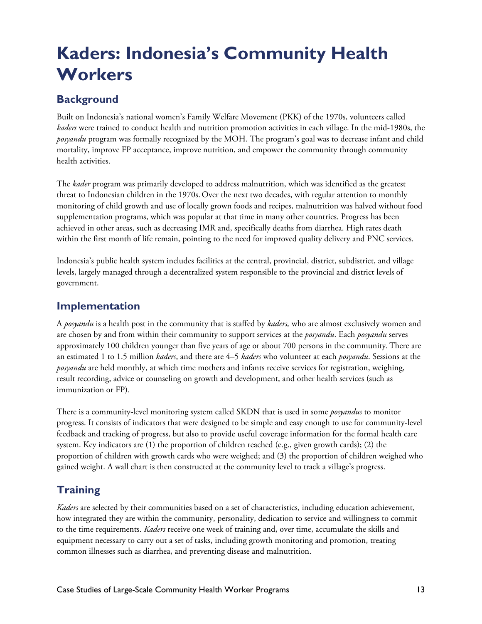# **Kaders: Indonesia's Community Health Workers**

## **Background**

Built on Indonesia's national women's Family Welfare Movement (PKK) of the 1970s, volunteers called *kaders* were trained to conduct health and nutrition promotion activities in each village. In the mid-1980s, the *posyandu* program was formally recognized by the MOH. The program's goal was to decrease infant and child mortality, improve FP acceptance, improve nutrition, and empower the community through community health activities.

The *kader* program was primarily developed to address malnutrition, which was identified as the greatest threat to Indonesian children in the 1970s.Over the next two decades, with regular attention to monthly monitoring of child growth and use of locally grown foods and recipes, malnutrition was halved without food supplementation programs, which was popular at that time in many other countries. Progress has been achieved in other areas, such as decreasing IMR and, specifically deaths from diarrhea. High rates death within the first month of life remain, pointing to the need for improved quality delivery and PNC services.

Indonesia's public health system includes facilities at the central, provincial, district, subdistrict, and village levels, largely managed through a decentralized system responsible to the provincial and district levels of government.

### **Implementation**

A *posyandu* is a health post in the community that is staffed by *kaders,* who are almost exclusively women and are chosen by and from within their community to support services at the *posyandu*. Each *posyandu* serves approximately 100 children younger than five years of age or about 700 persons in the community.There are an estimated 1 to 1.5 million *kaders*, and there are 4–5 *kaders* who volunteer at each *posyandu*. Sessions at the *posyandu* are held monthly, at which time mothers and infants receive services for registration, weighing, result recording, advice or counseling on growth and development, and other health services (such as immunization or FP).

There is a community-level monitoring system called SKDN that is used in some *posyandus* to monitor progress. It consists of indicators that were designed to be simple and easy enough to use for community-level feedback and tracking of progress, but also to provide useful coverage information for the formal health care system. Key indicators are (1) the proportion of children reached (e.g., given growth cards); (2) the proportion of children with growth cards who were weighed; and (3) the proportion of children weighed who gained weight. A wall chart is then constructed at the community level to track a village's progress.

## **Training**

*Kaders* are selected by their communities based on a set of characteristics, including education achievement, how integrated they are within the community, personality, dedication to service and willingness to commit to the time requirements. *Kaders* receive one week of training and, over time, accumulate the skills and equipment necessary to carry out a set of tasks, including growth monitoring and promotion, treating common illnesses such as diarrhea, and preventing disease and malnutrition.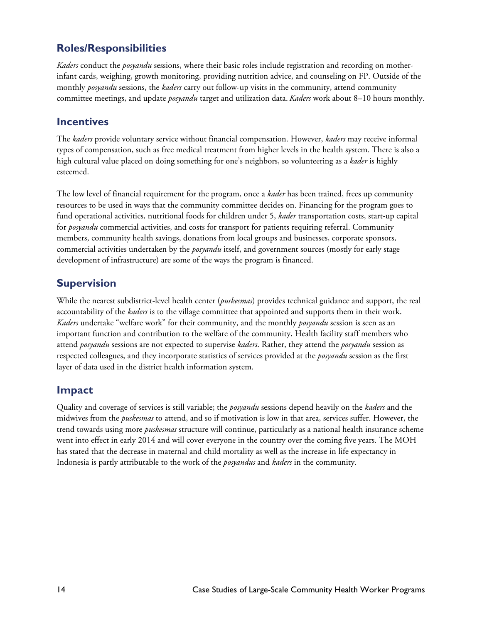### **Roles/Responsibilities**

*Kaders* conduct the *posyandu* sessions, where their basic roles include registration and recording on motherinfant cards, weighing, growth monitoring, providing nutrition advice, and counseling on FP. Outside of the monthly *posyandu* sessions, the *kaders* carry out follow-up visits in the community, attend community committee meetings, and update *posyandu* target and utilization data. *Kaders* work about 8–10 hours monthly.

#### **Incentives**

The *kaders* provide voluntary service without financial compensation. However, *kaders* may receive informal types of compensation, such as free medical treatment from higher levels in the health system. There is also a high cultural value placed on doing something for one's neighbors, so volunteering as a *kader* is highly esteemed.

The low level of financial requirement for the program, once a *kader* has been trained, frees up community resources to be used in ways that the community committee decides on. Financing for the program goes to fund operational activities, nutritional foods for children under 5, *kader* transportation costs, start-up capital for *posyandu* commercial activities, and costs for transport for patients requiring referral. Community members, community health savings, donations from local groups and businesses, corporate sponsors, commercial activities undertaken by the *posyandu* itself, and government sources (mostly for early stage development of infrastructure) are some of the ways the program is financed.

#### **Supervision**

While the nearest subdistrict-level health center (*puskesmas*) provides technical guidance and support, the real accountability of the *kaders* is to the village committee that appointed and supports them in their work. *Kaders* undertake "welfare work" for their community, and the monthly *posyandu* session is seen as an important function and contribution to the welfare of the community. Health facility staff members who attend *posyandu* sessions are not expected to supervise *kaders*. Rather, they attend the *posyandu* session as respected colleagues, and they incorporate statistics of services provided at the *posyandu* session as the first layer of data used in the district health information system.

### **Impact**

Quality and coverage of services is still variable; the *posyandu* sessions depend heavily on the *kaders* and the midwives from the *puskesmas* to attend, and so if motivation is low in that area, services suffer. However, the trend towards using more *puskesmas* structure will continue, particularly as a national health insurance scheme went into effect in early 2014 and will cover everyone in the country over the coming five years. The MOH has stated that the decrease in maternal and child mortality as well as the increase in life expectancy in Indonesia is partly attributable to the work of the *posyandus* and *kaders* in the community.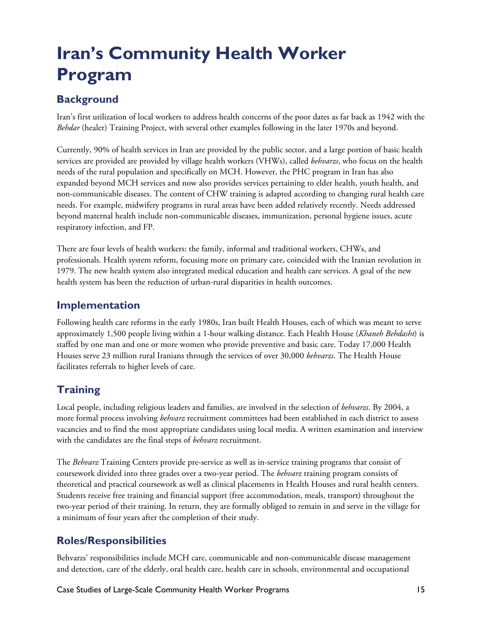# **Iran's Community Health Worker Program**

## **Background**

Iran's first utilization of local workers to address health concerns of the poor dates as far back as 1942 with the *Behdar* (healer) Training Project, with several other examples following in the later 1970s and beyond.

Currently, 90% of health services in Iran are provided by the public sector, and a large portion of basic health services are provided are provided by village health workers (VHWs), called *behvarzs*, who focus on the health needs of the rural population and specifically on MCH. However, the PHC program in Iran has also expanded beyond MCH services and now also provides services pertaining to elder health, youth health, and non-communicable diseases. The content of CHW training is adapted according to changing rural health care needs. For example, midwifery programs in rural areas have been added relatively recently. Needs addressed beyond maternal health include non-communicable diseases, immunization, personal hygiene issues, acute respiratory infection, and FP.

There are four levels of health workers: the family, informal and traditional workers, CHWs, and professionals. Health system reform, focusing more on primary care, coincided with the Iranian revolution in 1979. The new health system also integrated medical education and health care services. A goal of the new health system has been the reduction of urban-rural disparities in health outcomes.

### **Implementation**

Following health care reforms in the early 1980s, Iran built Health Houses, each of which was meant to serve approximately 1,500 people living within a 1-hour walking distance. Each Health House (*Khaneh Behdasht*) is staffed by one man and one or more women who provide preventive and basic care. Today 17,000 Health Houses serve 23 million rural Iranians through the services of over 30,000 *behvarzs*. The Health House facilitates referrals to higher levels of care.

## **Training**

Local people, including religious leaders and families, are involved in the selection of *behvarzs*. By 2004, a more formal process involving *behvarz* recruitment committees had been established in each district to assess vacancies and to find the most appropriate candidates using local media. A written examination and interview with the candidates are the final steps of *behvarz* recruitment.

The *Behvarz* Training Centers provide pre-service as well as in-service training programs that consist of coursework divided into three grades over a two-year period. The *behvarz* training program consists of theoretical and practical coursework as well as clinical placements in Health Houses and rural health centers. Students receive free training and financial support (free accommodation, meals, transport) throughout the two-year period of their training. In return, they are formally obliged to remain in and serve in the village for a minimum of four years after the completion of their study.

## **Roles/Responsibilities**

Behvarzs' responsibilities include MCH care, communicable and non-communicable disease management and detection, care of the elderly, oral health care, health care in schools, environmental and occupational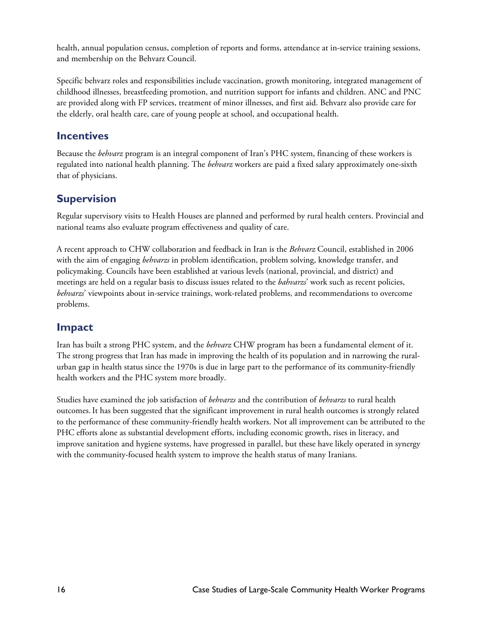health, annual population census, completion of reports and forms, attendance at in-service training sessions, and membership on the Behvarz Council.

Specific behvarz roles and responsibilities include vaccination, growth monitoring, integrated management of childhood illnesses, breastfeeding promotion, and nutrition support for infants and children. ANC and PNC are provided along with FP services, treatment of minor illnesses, and first aid. Behvarz also provide care for the elderly, oral health care, care of young people at school, and occupational health.

#### **Incentives**

Because the *behvarz* program is an integral component of Iran's PHC system, financing of these workers is regulated into national health planning. The *behvarz* workers are paid a fixed salary approximately one-sixth that of physicians.

### **Supervision**

Regular supervisory visits to Health Houses are planned and performed by rural health centers. Provincial and national teams also evaluate program effectiveness and quality of care.

A recent approach to CHW collaboration and feedback in Iran is the *Behvarz* Council, established in 2006 with the aim of engaging *behvarzs* in problem identification, problem solving, knowledge transfer, and policymaking. Councils have been established at various levels (national, provincial, and district) and meetings are held on a regular basis to discuss issues related to the *bahvarzs*' work such as recent policies, *behvarzs*' viewpoints about in-service trainings, work-related problems, and recommendations to overcome problems.

### **Impact**

Iran has built a strong PHC system, and the *behvarz* CHW program has been a fundamental element of it. The strong progress that Iran has made in improving the health of its population and in narrowing the ruralurban gap in health status since the 1970s is due in large part to the performance of its community-friendly health workers and the PHC system more broadly.

Studies have examined the job satisfaction of *behvarzs* and the contribution of *behvarzs* to rural health outcomes.It has been suggested that the significant improvement in rural health outcomes is strongly related to the performance of these community-friendly health workers. Not all improvement can be attributed to the PHC efforts alone as substantial development efforts, including economic growth, rises in literacy, and improve sanitation and hygiene systems, have progressed in parallel, but these have likely operated in synergy with the community-focused health system to improve the health status of many Iranians.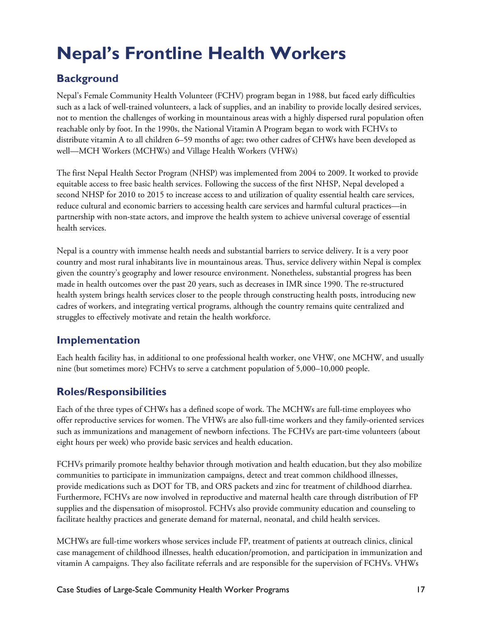# **Nepal's Frontline Health Workers**

## **Background**

Nepal's Female Community Health Volunteer (FCHV) program began in 1988, but faced early difficulties such as a lack of well-trained volunteers, a lack of supplies, and an inability to provide locally desired services, not to mention the challenges of working in mountainous areas with a highly dispersed rural population often reachable only by foot. In the 1990s, the National Vitamin A Program began to work with FCHVs to distribute vitamin A to all children 6–59 months of age; two other cadres of CHWs have been developed as well—MCH Workers (MCHWs) and Village Health Workers (VHWs)

The first Nepal Health Sector Program (NHSP) was implemented from 2004 to 2009. It worked to provide equitable access to free basic health services. Following the success of the first NHSP, Nepal developed a second NHSP for 2010 to 2015 to increase access to and utilization of quality essential health care services, reduce cultural and economic barriers to accessing health care services and harmful cultural practices—in partnership with non-state actors, and improve the health system to achieve universal coverage of essential health services.

Nepal is a country with immense health needs and substantial barriers to service delivery. It is a very poor country and most rural inhabitants live in mountainous areas. Thus, service delivery within Nepal is complex given the country's geography and lower resource environment. Nonetheless, substantial progress has been made in health outcomes over the past 20 years, such as decreases in IMR since 1990. The re-structured health system brings health services closer to the people through constructing health posts, introducing new cadres of workers, and integrating vertical programs, although the country remains quite centralized and struggles to effectively motivate and retain the health workforce.

## **Implementation**

Each health facility has, in additional to one professional health worker, one VHW, one MCHW, and usually nine (but sometimes more) FCHVs to serve a catchment population of 5,000–10,000 people.

## **Roles/Responsibilities**

Each of the three types of CHWs has a defined scope of work. The MCHWs are full-time employees who offer reproductive services for women. The VHWs are also full-time workers and they family-oriented services such as immunizations and management of newborn infections. The FCHVs are part-time volunteers (about eight hours per week) who provide basic services and health education.

FCHVs primarily promote healthy behavior through motivation and health education, but they also mobilize communities to participate in immunization campaigns, detect and treat common childhood illnesses, provide medications such as DOT for TB, and ORS packets and zinc for treatment of childhood diarrhea. Furthermore, FCHVs are now involved in reproductive and maternal health care through distribution of FP supplies and the dispensation of misoprostol. FCHVs also provide community education and counseling to facilitate healthy practices and generate demand for maternal, neonatal, and child health services.

MCHWs are full-time workers whose services include FP, treatment of patients at outreach clinics, clinical case management of childhood illnesses, health education/promotion, and participation in immunization and vitamin A campaigns. They also facilitate referrals and are responsible for the supervision of FCHVs. VHWs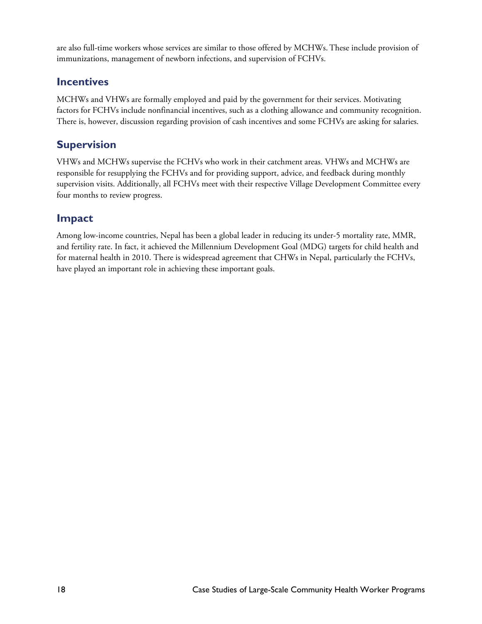are also full-time workers whose services are similar to those offered by MCHWs.These include provision of immunizations, management of newborn infections, and supervision of FCHVs.

### **Incentives**

MCHWs and VHWs are formally employed and paid by the government for their services. Motivating factors for FCHVs include nonfinancial incentives, such as a clothing allowance and community recognition. There is, however, discussion regarding provision of cash incentives and some FCHVs are asking for salaries.

### **Supervision**

VHWs and MCHWs supervise the FCHVs who work in their catchment areas. VHWs and MCHWs are responsible for resupplying the FCHVs and for providing support, advice, and feedback during monthly supervision visits. Additionally, all FCHVs meet with their respective Village Development Committee every four months to review progress.

### **Impact**

Among low-income countries, Nepal has been a global leader in reducing its under-5 mortality rate, MMR, and fertility rate. In fact, it achieved the Millennium Development Goal (MDG) targets for child health and for maternal health in 2010. There is widespread agreement that CHWs in Nepal, particularly the FCHVs, have played an important role in achieving these important goals.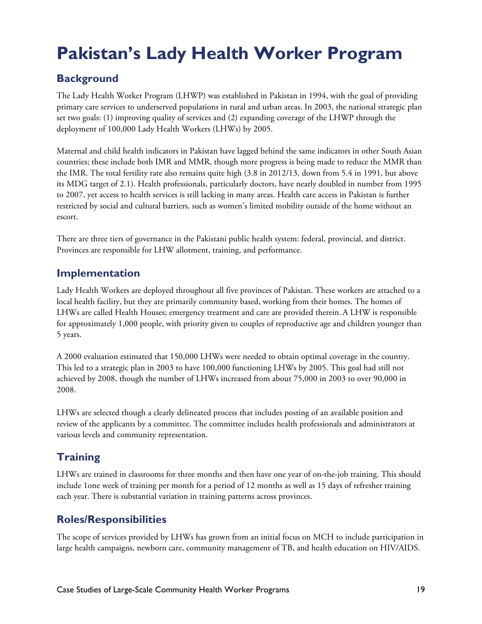# **Pakistan's Lady Health Worker Program**

## **Background**

The Lady Health Worker Program (LHWP) was established in Pakistan in 1994, with the goal of providing primary care services to underserved populations in rural and urban areas. In 2003, the national strategic plan set two goals: (1) improving quality of services and (2) expanding coverage of the LHWP through the deployment of 100,000 Lady Health Workers (LHWs) by 2005.

Maternal and child health indicators in Pakistan have lagged behind the same indicators in other South Asian countries; these include both IMR and MMR, though more progress is being made to reduce the MMR than the IMR. The total fertility rate also remains quite high (3.8 in 2012/13, down from 5.4 in 1991, but above its MDG target of 2.1). Health professionals, particularly doctors, have nearly doubled in number from 1995 to 2007, yet access to health services is still lacking in many areas. Health care access in Pakistan is further restricted by social and cultural barriers, such as women's limited mobility outside of the home without an escort.

There are three tiers of governance in the Pakistani public health system: federal, provincial, and district. Provinces are responsible for LHW allotment, training, and performance.

### **Implementation**

Lady Health Workers are deployed throughout all five provinces of Pakistan. These workers are attached to a local health facility, but they are primarily community based, working from their homes. The homes of LHWs are called Health Houses; emergency treatment and care are provided therein. A LHW is responsible for approximately 1,000 people, with priority given to couples of reproductive age and children younger than 5 years.

A 2000 evaluation estimated that 150,000 LHWs were needed to obtain optimal coverage in the country. This led to a strategic plan in 2003 to have 100,000 functioning LHWs by 2005. This goal had still not achieved by 2008, though the number of LHWs increased from about 75,000 in 2003 to over 90,000 in 2008.

LHWs are selected though a clearly delineated process that includes posting of an available position and review of the applicants by a committee. The committee includes health professionals and administrators at various levels and community representation.

## **Training**

LHWs are trained in classrooms for three months and then have one year of on-the-job training. This should include 1one week of training per month for a period of 12 months as well as 15 days of refresher training each year. There is substantial variation in training patterns across provinces.

## **Roles/Responsibilities**

The scope of services provided by LHWs has grown from an initial focus on MCH to include participation in large health campaigns, newborn care, community management of TB, and health education on HIV/AIDS.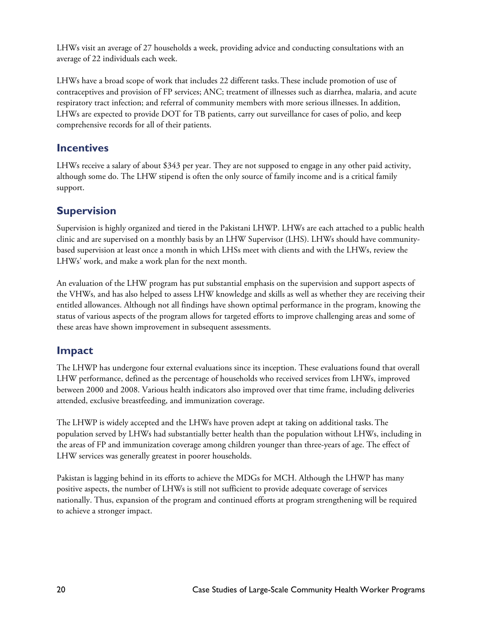LHWs visit an average of 27 households a week, providing advice and conducting consultations with an average of 22 individuals each week.

LHWs have a broad scope of work that includes 22 different tasks.These include promotion of use of contraceptives and provision of FP services; ANC; treatment of illnesses such as diarrhea, malaria, and acute respiratory tract infection; and referral of community members with more serious illnesses.In addition, LHWs are expected to provide DOT for TB patients, carry out surveillance for cases of polio, and keep comprehensive records for all of their patients.

### **Incentives**

LHWs receive a salary of about \$343 per year. They are not supposed to engage in any other paid activity, although some do. The LHW stipend is often the only source of family income and is a critical family support.

### **Supervision**

Supervision is highly organized and tiered in the Pakistani LHWP. LHWs are each attached to a public health clinic and are supervised on a monthly basis by an LHW Supervisor (LHS). LHWs should have communitybased supervision at least once a month in which LHSs meet with clients and with the LHWs, review the LHWs' work, and make a work plan for the next month.

An evaluation of the LHW program has put substantial emphasis on the supervision and support aspects of the VHWs, and has also helped to assess LHW knowledge and skills as well as whether they are receiving their entitled allowances. Although not all findings have shown optimal performance in the program, knowing the status of various aspects of the program allows for targeted efforts to improve challenging areas and some of these areas have shown improvement in subsequent assessments.

### **Impact**

The LHWP has undergone four external evaluations since its inception. These evaluations found that overall LHW performance, defined as the percentage of households who received services from LHWs, improved between 2000 and 2008. Various health indicators also improved over that time frame, including deliveries attended, exclusive breastfeeding, and immunization coverage.

The LHWP is widely accepted and the LHWs have proven adept at taking on additional tasks.The population served by LHWs had substantially better health than the population without LHWs, including in the areas of FP and immunization coverage among children younger than three-years of age. The effect of LHW services was generally greatest in poorer households.

Pakistan is lagging behind in its efforts to achieve the MDGs for MCH. Although the LHWP has many positive aspects, the number of LHWs is still not sufficient to provide adequate coverage of services nationally. Thus, expansion of the program and continued efforts at program strengthening will be required to achieve a stronger impact.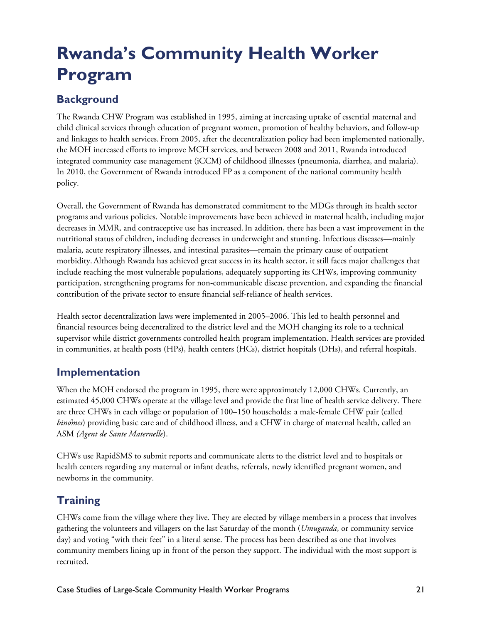# **Rwanda's Community Health Worker Program**

## **Background**

The Rwanda CHW Program was established in 1995, aiming at increasing uptake of essential maternal and child clinical services through education of pregnant women, promotion of healthy behaviors, and follow-up and linkages to health services. From 2005, after the decentralization policy had been implemented nationally, the MOH increased efforts to improve MCH services, and between 2008 and 2011, Rwanda introduced integrated community case management (iCCM) of childhood illnesses (pneumonia, diarrhea, and malaria). In 2010, the Government of Rwanda introduced FP as a component of the national community health policy.

Overall, the Government of Rwanda has demonstrated commitment to the MDGs through its health sector programs and various policies. Notable improvements have been achieved in maternal health, including major decreases in MMR, and contraceptive use has increased.In addition, there has been a vast improvement in the nutritional status of children, including decreases in underweight and stunting. Infectious diseases—mainly malaria, acute respiratory illnesses, and intestinal parasites—remain the primary cause of outpatient morbidity. Although Rwanda has achieved great success in its health sector, it still faces major challenges that include reaching the most vulnerable populations, adequately supporting its CHWs, improving community participation, strengthening programs for non-communicable disease prevention, and expanding the financial contribution of the private sector to ensure financial self-reliance of health services.

Health sector decentralization laws were implemented in 2005–2006. This led to health personnel and financial resources being decentralized to the district level and the MOH changing its role to a technical supervisor while district governments controlled health program implementation. Health services are provided in communities, at health posts (HPs), health centers (HCs), district hospitals (DHs), and referral hospitals.

### **Implementation**

When the MOH endorsed the program in 1995, there were approximately 12,000 CHWs. Currently, an estimated 45,000 CHWs operate at the village level and provide the first line of health service delivery. There are three CHWs in each village or population of 100–150 households: a male-female CHW pair (called *binômes*) providing basic care and of childhood illness, and a CHW in charge of maternal health, called an ASM *(Agent de Sante Maternelle*).

CHWs use RapidSMS to submit reports and communicate alerts to the district level and to hospitals or health centers regarding any maternal or infant deaths, referrals, newly identified pregnant women, and newborns in the community.

## **Training**

CHWs come from the village where they live. They are elected by village membersin a process that involves gathering the volunteers and villagers on the last Saturday of the month (*Umuganda*, or community service day) and voting "with their feet" in a literal sense. The process has been described as one that involves community members lining up in front of the person they support. The individual with the most support is recruited.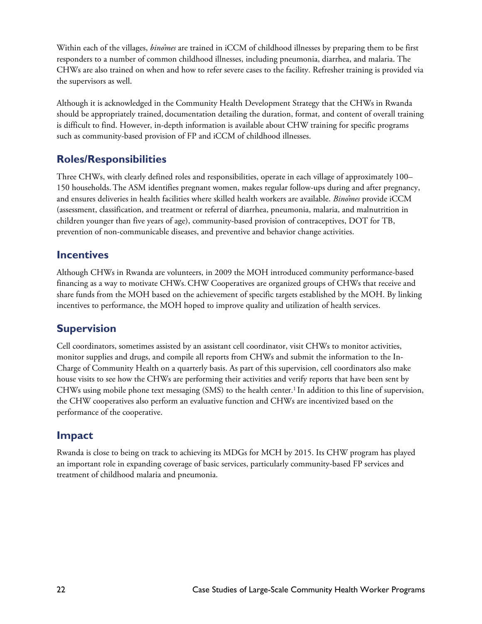Within each of the villages, *binômes* are trained in iCCM of childhood illnesses by preparing them to be first responders to a number of common childhood illnesses, including pneumonia, diarrhea, and malaria. The CHWs are also trained on when and how to refer severe cases to the facility. Refresher training is provided via the supervisors as well.

Although it is acknowledged in the Community Health Development Strategy that the CHWs in Rwanda should be appropriately trained, documentation detailing the duration, format, and content of overall training is difficult to find. However, in-depth information is available about CHW training for specific programs such as community-based provision of FP and iCCM of childhood illnesses.

### **Roles/Responsibilities**

Three CHWs, with clearly defined roles and responsibilities, operate in each village of approximately 100– 150 households.The ASM identifies pregnant women, makes regular follow-ups during and after pregnancy, and ensures deliveries in health facilities where skilled health workers are available. *Binômes* provide iCCM (assessment, classification, and treatment or referral of diarrhea, pneumonia, malaria, and malnutrition in children younger than five years of age), community-based provision of contraceptives, DOT for TB, prevention of non-communicable diseases, and preventive and behavior change activities.

#### **Incentives**

Although CHWs in Rwanda are volunteers, in 2009 the MOH introduced community performance-based financing as a way to motivate CHWs.CHW Cooperatives are organized groups of CHWs that receive and share funds from the MOH based on the achievement of specific targets established by the MOH. By linking incentives to performance, the MOH hoped to improve quality and utilization of health services.

### **Supervision**

Cell coordinators, sometimes assisted by an assistant cell coordinator, visit CHWs to monitor activities, monitor supplies and drugs, and compile all reports from CHWs and submit the information to the In-Charge of Community Health on a quarterly basis. As part of this supervision, cell coordinators also make house visits to see how the CHWs are performing their activities and verify reports that have been sent by CHWs using mobile phone text messaging (SMS) to the health center.1 In addition to this line of supervision, the CHW cooperatives also perform an evaluative function and CHWs are incentivized based on the performance of the cooperative.

#### **Impact**

Rwanda is close to being on track to achieving its MDGs for MCH by 2015. Its CHW program has played an important role in expanding coverage of basic services, particularly community-based FP services and treatment of childhood malaria and pneumonia.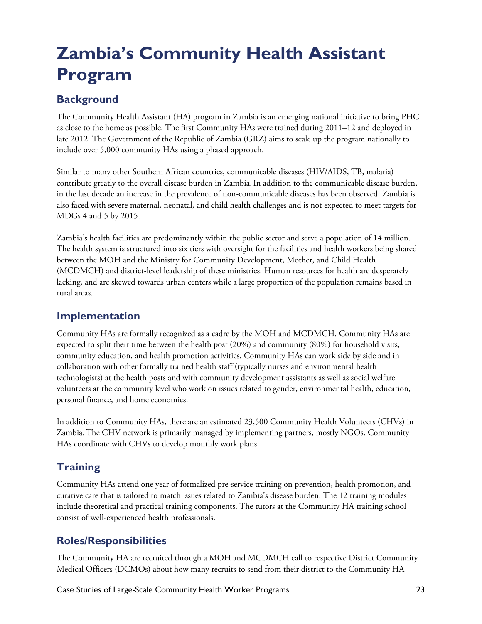# **Zambia's Community Health Assistant Program**

## **Background**

The Community Health Assistant (HA) program in Zambia is an emerging national initiative to bring PHC as close to the home as possible. The first Community HAs were trained during 2011–12 and deployed in late 2012. The Government of the Republic of Zambia (GRZ) aims to scale up the program nationally to include over 5,000 community HAs using a phased approach.

Similar to many other Southern African countries, communicable diseases (HIV/AIDS, TB, malaria) contribute greatly to the overall disease burden in Zambia.In addition to the communicable disease burden, in the last decade an increase in the prevalence of non-communicable diseases has been observed. Zambia is also faced with severe maternal, neonatal, and child health challenges and is not expected to meet targets for MDGs 4 and 5 by 2015.

Zambia's health facilities are predominantly within the public sector and serve a population of 14 million. The health system is structured into six tiers with oversight for the facilities and health workers being shared between the MOH and the Ministry for Community Development, Mother, and Child Health (MCDMCH) and district-level leadership of these ministries. Human resources for health are desperately lacking, and are skewed towards urban centers while a large proportion of the population remains based in rural areas.

### **Implementation**

Community HAs are formally recognized as a cadre by the MOH and MCDMCH. Community HAs are expected to split their time between the health post (20%) and community (80%) for household visits, community education, and health promotion activities. Community HAs can work side by side and in collaboration with other formally trained health staff (typically nurses and environmental health technologists) at the health posts and with community development assistants as well as social welfare volunteers at the community level who work on issues related to gender, environmental health, education, personal finance, and home economics.

In addition to Community HAs, there are an estimated 23,500 Community Health Volunteers (CHVs) in Zambia.The CHV network is primarily managed by implementing partners, mostly NGOs. Community HAs coordinate with CHVs to develop monthly work plans

## **Training**

Community HAs attend one year of formalized pre-service training on prevention, health promotion, and curative care that is tailored to match issues related to Zambia's disease burden. The 12 training modules include theoretical and practical training components. The tutors at the Community HA training school consist of well-experienced health professionals.

## **Roles/Responsibilities**

The Community HA are recruited through a MOH and MCDMCH call to respective District Community Medical Officers (DCMOs) about how many recruits to send from their district to the Community HA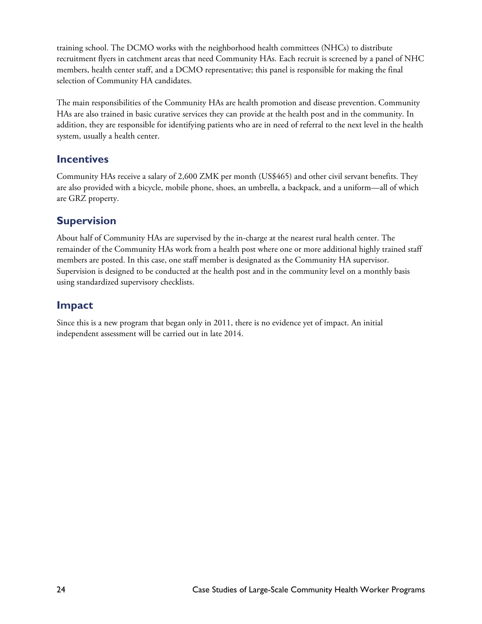training school. The DCMO works with the neighborhood health committees (NHCs) to distribute recruitment flyers in catchment areas that need Community HAs. Each recruit is screened by a panel of NHC members, health center staff, and a DCMO representative; this panel is responsible for making the final selection of Community HA candidates.

The main responsibilities of the Community HAs are health promotion and disease prevention. Community HAs are also trained in basic curative services they can provide at the health post and in the community. In addition, they are responsible for identifying patients who are in need of referral to the next level in the health system, usually a health center.

### **Incentives**

Community HAs receive a salary of 2,600 ZMK per month (US\$465) and other civil servant benefits. They are also provided with a bicycle, mobile phone, shoes, an umbrella, a backpack, and a uniform—all of which are GRZ property.

### **Supervision**

About half of Community HAs are supervised by the in-charge at the nearest rural health center. The remainder of the Community HAs work from a health post where one or more additional highly trained staff members are posted. In this case, one staff member is designated as the Community HA supervisor. Supervision is designed to be conducted at the health post and in the community level on a monthly basis using standardized supervisory checklists.

### **Impact**

Since this is a new program that began only in 2011, there is no evidence yet of impact. An initial independent assessment will be carried out in late 2014.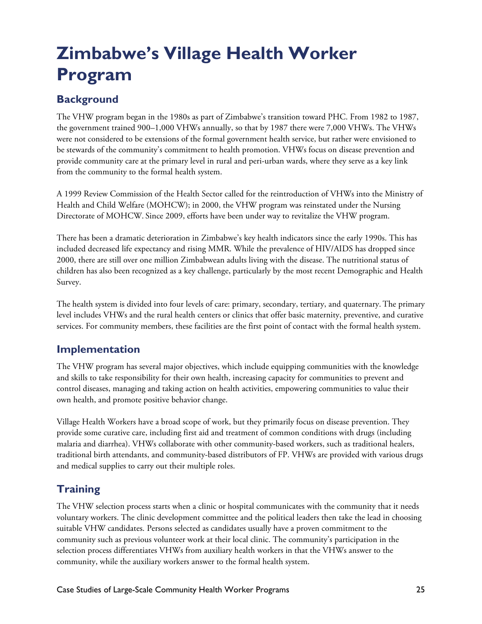# **Zimbabwe's Village Health Worker Program**

## **Background**

The VHW program began in the 1980s as part of Zimbabwe's transition toward PHC. From 1982 to 1987, the government trained 900–1,000 VHWs annually, so that by 1987 there were 7,000 VHWs. The VHWs were not considered to be extensions of the formal government health service, but rather were envisioned to be stewards of the community's commitment to health promotion. VHWs focus on disease prevention and provide community care at the primary level in rural and peri-urban wards, where they serve as a key link from the community to the formal health system.

A 1999 Review Commission of the Health Sector called for the reintroduction of VHWs into the Ministry of Health and Child Welfare (MOHCW); in 2000, the VHW program was reinstated under the Nursing Directorate of MOHCW. Since 2009, efforts have been under way to revitalize the VHW program.

There has been a dramatic deterioration in Zimbabwe's key health indicators since the early 1990s. This has included decreased life expectancy and rising MMR. While the prevalence of HIV/AIDS has dropped since 2000, there are still over one million Zimbabwean adults living with the disease. The nutritional status of children has also been recognized as a key challenge, particularly by the most recent Demographic and Health Survey.

The health system is divided into four levels of care: primary, secondary, tertiary, and quaternary. The primary level includes VHWs and the rural health centers or clinics that offer basic maternity, preventive, and curative services. For community members, these facilities are the first point of contact with the formal health system.

### **Implementation**

The VHW program has several major objectives, which include equipping communities with the knowledge and skills to take responsibility for their own health, increasing capacity for communities to prevent and control diseases, managing and taking action on health activities, empowering communities to value their own health, and promote positive behavior change.

Village Health Workers have a broad scope of work, but they primarily focus on disease prevention. They provide some curative care, including first aid and treatment of common conditions with drugs (including malaria and diarrhea). VHWs collaborate with other community-based workers, such as traditional healers, traditional birth attendants, and community-based distributors of FP. VHWs are provided with various drugs and medical supplies to carry out their multiple roles.

## **Training**

The VHW selection process starts when a clinic or hospital communicates with the community that it needs voluntary workers. The clinic development committee and the political leaders then take the lead in choosing suitable VHW candidates. Persons selected as candidates usually have a proven commitment to the community such as previous volunteer work at their local clinic. The community's participation in the selection process differentiates VHWs from auxiliary health workers in that the VHWs answer to the community, while the auxiliary workers answer to the formal health system.